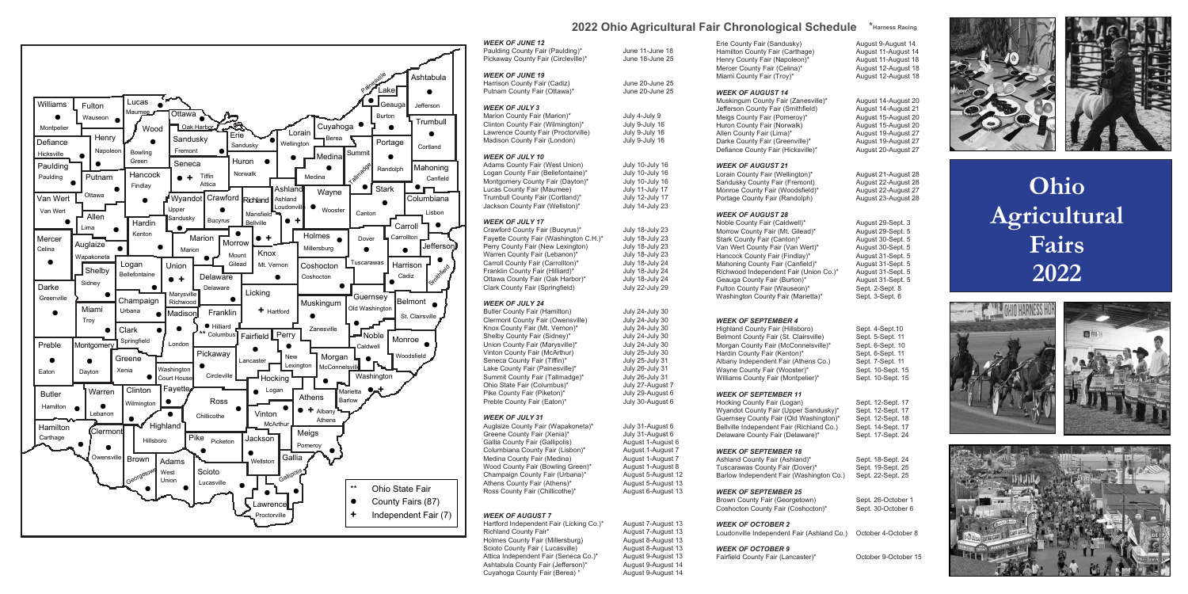

#### *WEEK OF JUNE 12* Paulding County Fair (Paulding)\* June 11-June 18

Pickaway County Fair (Circleville)\* June 18-June 25 *WEEK OF JUNE 19* Harrison County Fair (Cadiz) June 20-June 25<br>Putnam County Fair (Ottawa)\* June 20-June 25 Putnam County Fair (Ottawa)<sup>\*</sup> *WEEK OF JULY 3* Marion County Fair (Marion)\* July 4-July 9 Clinton County Fair (Wilmington)\* July 9-July 16 Lawrence County Fair (Proctorville) Madison County Fair (London) July 9-July 16 *WEEK OF JULY 10*

Adams County Fair (West Union) July 10-July 16<br>
Logan County Fair (Bellefontaine)\* July 10-July 16 Logan County Fair (Bellefontaine)\* July 10-July 16<br>Montgomery County Fair (Dayton)\* July 10-July 16 Montgomery County Fair (Dayton)\* July 10-July 16<br>
Lucas County Fair (Maumee) July 11-July 17 Lucas County Fair (Maumee) July 11-July 17<br>Trumbull County Fair (Cortland)\* July 12-July 17 Trumbull County Fair (Cortland)\* July 12-July 17<br>July 14-July 23<br>July 14-July 23 Jackson County Fair (Wellston)\*

Greene County Fair (Xenia)\* July 31-August 6 Gallia County Fair (Gallipolis) August 1-August 6<br>Columbiana County Fair (Lisbon)\* August 1-August 7 Columbiana County Fair (Lisbon)\* August 1-August 7<br>Medina County Fair (Medina) August 1-August 7 Medina County Fair (Medina) Wood County Fair (Bowling Green)\* August 1-August 8 Champaign County Fair (Urbana)\* August 5-August 12<br>Athens County Fair (Athens)\* August 5-August 13 Athens County Fair (Athens)\* <br>
Ross County Fair (Chillicothe)\* <br>
August 6-August 13 Ross County Fair (Chillicothe)\*

## **2022 Ohio Agricultural Fair Chronological Schedule \*Harness Racing**

**Ohio Agricultural Fairs 2022**







Hartford Independent Fair (Licking Co.)\* August 7-August 13 Richland County Fair\* (August 7-August 13<br>
Holmes County Fair (Millersburg) (August 8-August 13 Holmes County Fair (Millersburg) Scioto County Fair ( Lucasville) <br>Attica Independent Fair (Seneca Co.)\* August 9-August 13 Attica Independent Fair (Seneca Co.)\* August 9-August 13<br>Ashtabula County Fair (Jefferson)\* August 9-August 14 Ashtabula County Fair (Jefferson)\* August 9-August 14<br>Cuvahoga County Fair (Berea) \* August 9-August 14 Cuyahoga County Fair (Berea) \*

Muskingum County Fair (Zanesville)\* August 14-August 20 Jefferson County Fair (Smithfield) August 14-August 21 Meigs County Fair (Pomeroy)\* August 15-August 20<br>Huron County Fair (Norwalk) August 15-August 20 Huron County Fair (Norwalk) August 15-August 20 Allen County Fair (Lima)\* August 19-August 27<br>Darke County Fair (Greenville)\* August 19-August 27 Darke County Fair (Greenville)\* <br>
Defiance County Fair (Hicksville)\* August 20-August 27 Defiance County Fair (Hicksville)\*

#### *WEEK OF JULY 17*

Crawford County Fair (Bucyrus)\* July 18-July 23<br>Favette County Fair (Washington C.H.)\* July 18-July 23 Fayette County Fair (Washington C.H.)\* July 18-July 23<br>Perry County Fair (New Lexington) July 18-July 23 Perry County Fair (New Lexington) July 18-July 23<br>
Warren County Fair (Lebanon)\* July 18-July 23 Warren County Fair (Lebanon)\* July 18-July 23<br>Carroll County Fair (Carrollton)\* July 18-July 24 Carroll County Fair (Carrollton)\* July 18-July 24<br>Franklin County Fair (Hilliard)\* July 18-July 24 Franklin County Fair (Hilliard)\* July 18-July 24<br>Ottawa County Fair (Oak Harbor)\* July 18-July 24 Ottawa County Fair (Oak Harbor)\* July 18-July 24<br>Clark County Fair (Springfield) July 22-July 29 Clark County Fair (Springfield)

### *WEEK OF JULY 24*

Butler County Fair (Hamilton) July 24-July 30<br>Clermont County Fair (Owensville) July 24-July 30 Clermont County Fair (Owensville) July 24-July 30<br>
Knox County Fair (Mt. Vernon)\* July 24-July 30 Knox County Fair (Mt. Vernon)\* July 24-July 30<br>Shelby County Fair (Sidney)\* July 24-July 30 Shelby County Fair (Sidney)\* July 24-July 30<br>
Union County Fair (Marysville)\* July 24-July 30 Union County Fair (Marysville)\* July 24-July 30<br>Vinton County Fair (McArthur) July 25-July 30 Vinton County Fair (McArthur) July 25-July 30<br>
Seneca County Fair (Tiffin)\* July 25-July 31 Seneca County Fair (Tiffin)\*  $July 25-July 31$ <br>
Lake County Fair (Painesville)\* July 26-July 31 Lake County Fair (Painesville)\* July 26-July 31<br>Summit County Fair (Tallmadge)\* July 26-July 31 Summit County Fair (Tallmadge)\* July 26-July 31<br>Ohio State Fair (Columbus)\* July 27-August Ohio State Fair (Columbus)\* July 27-August 7<br>
Pike County Fair (Piketon)\* July 29-August 6 Pike County Fair (Piketon)\* July 29-August 6<br>
Preble County Fair (Eaton)\* July 30-August 6 Preble County Fair (Eaton)\*

#### *WEEK OF JULY 31*

Auglaize County Fair (Wapakoneta)\* July 31-August 6

Erie County Fair (Sandusky) **August 9-August 14**<br>Hamilton County Fair (Carthage) **August 11-August 14** Hamilton County Fair (Carthage) August 11-August 14<br>
Henry County Fair (Napoleon)\* August 11-August 18 Henry County Fair (Napoleon)\* <br>Mercer County Fair (Celina)\* <br>August 12-August 18 Mercer County Fair (Celina)\* August 12-August 18<br>Miami County Fair (Troy)\* August 12-August 18 Miami County Fair (Troy)\*

#### *WEEK OF AUGUST 7*

#### *WEEK OF AUGUST 14*

#### *WEEK OF AUGUST 21*

Lorain County Fair (Wellington)\* <br>August 21-August 28 Sandusky County Fair (Fremont) August 22-August 28<br>Monroe County Fair (Woodsfield)\* August 22-August 27 Monroe County Fair (Woodsfield)\* August 22-August 27<br>Portage County Fair (Randolph) August 23-August 28 Portage County Fair (Randolph)

#### *WEEK OF AUGUST 28*

Noble County Fair (Caldwell)\* August 29-Sept. 3<br>Morrow County Fair (Mt. Gilead)\* August 29-Sept. 5 Morrow County Fair (Mt. Gilead)\* August 29-Sept. 5<br>Stark County Fair (Canton)\* August 30-Sept. 5 Stark County Fair (Canton)\* <br>Van Wert County Fair (Van Wert)\* August 30-Sept. 5 Van Wert County Fair (Van Wert)\* August 30-Sept. 5<br>
Hancock County Fair (Findlay)\* August 31-Sept. 5 Hancock County Fair (Findlay)\* August 31-Sept. 5<br>
Mahoning County Fair (Canfield)\* August 31-Sept. 5 Mahoning County Fair (Canfield)\* August 31-Sept. 5<br>Richwood Independent Fair (Union Co.)\* August 31-Sept. 5 Richwood Independent Fair (Union Co.)\* August 31-Sept. 5 Geauga County Fair (Burton)\* August 31-Sept. 5 Fulton County Fair (Wauseon)\* Washington County Fair (Marietta)\* Sept. 3-Sept. 6

#### *WEEK OF SEPTEMBER 4*

Highland County Fair (Hillsboro) Sept. 4-Sept.10<br>Belmont County Fair (St. Clairsville) Sept. 5-Sept. 11 Belmont County Fair (St. Clairsville) Sept. 5-Sept. 11<br>Morgan County Fair (McConnelsville)\* Sept. 6-Sept. 10 Morgan County Fair (McConnelsville)\* Sept. 6-Sept. 10<br>Hardin County Fair (Kenton)\* Sept. 6-Sept. 11 Hardin County Fair (Kenton)\* Sept. 6-Sept. 11<br>Albany Independent Fair (Athens Co.) Sept. 7-Sept. 11 Albany Independent Fair (Athens Co.) Wayne County Fair (Wooster)\* Sept. 10-Sept. 15 Williams County Fair (Montpelier)\* Sept. 10-Sept. 15

#### *WEEK OF SEPTEMBER 11*

Hocking County Fair (Logan) Sept. 12-Sept. 17<br>Wyandot County Fair (Upper Sandusky)\* Sept. 12-Sept. 17 Wyandot County Fair (Upper Sandusky)\* Sept. 12-Sept. 17<br>Guernsey County Fair (Old Washington)\* Sept. 12-Sept. 18 Guernsey County Fair (Old Washington)\* Bellville Independent Fair (Richland Co.) Sept. 14-Sept. 17<br>Delaware County Fair (Delaware)\* Sept. 17-Sept. 24 Delaware County Fair (Delaware)\*

#### *WEEK OF SEPTEMBER 18*

Ashland County Fair (Ashland)\* Sept. 18-Sept. 24<br>Tuscarawas County Fair (Dover)\* Sept. 19-Sept. 25 Tuscarawas County Fair (Dover)\* Sept. 19-Sept. 25<br>Barlow Independent Fair (Washington Co.) Sept. 22-Sept. 25 Barlow Independent Fair (Washington Co.)

#### *WEEK OF SEPTEMBER 25*

Brown County Fair (Georgetown) Sept. 26-October 1 Coshocton County Fair (Coshocton)\* Sept. 30-October 6

#### *WEEK OF OCTOBER 2*

Loudonville Independent Fair (Ashland Co.) October 4-October 8

#### *WEEK OF OCTOBER 9*

Fairfield County Fair (Lancaster)\* October 9-October 15